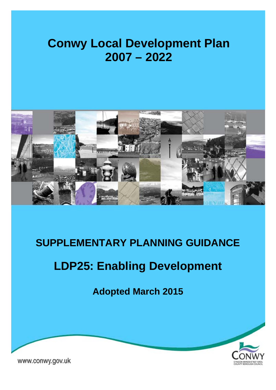# **Conwy Local Development Plan 2007 – 2022**



## **SUPPLEMENTARY PLANNING GUIDANCE**

# **LDP25: Enabling Development**

**Adopted March 2015** 



www.conwy.gov.uk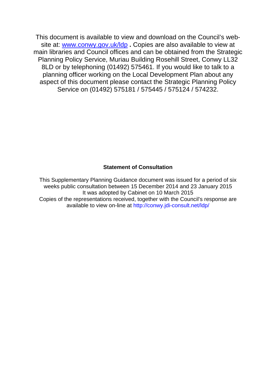This document is available to view and download on the Council's website at: www.conwy.gov.uk/ldp **.** Copies are also available to view at main libraries and Council offices and can be obtained from the Strategic Planning Policy Service, Muriau Building Rosehill Street, Conwy LL32 8LD or by telephoning (01492) 575461. If you would like to talk to a planning officer working on the Local Development Plan about any aspect of this document please contact the Strategic Planning Policy Service on (01492) 575181 / 575445 / 575124 / 574232.

#### **Statement of Consultation**

This Supplementary Planning Guidance document was issued for a period of six weeks public consultation between 15 December 2014 and 23 January 2015 It was adopted by Cabinet on 10 March 2015 Copies of the representations received, together with the Council's response are available to view on-line at http://conwy.jdi-consult.net/ldp/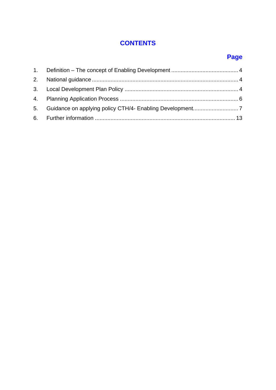## **CONTENTS**

## **Page**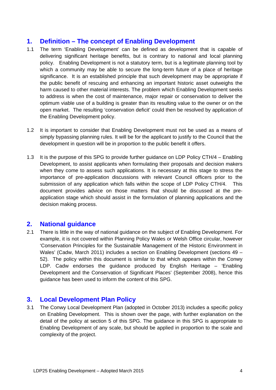### **1. Definition – The concept of Enabling Development**

- 1.1 The term 'Enabling Development' can be defined as development that is capable of delivering significant heritage benefits, but is contrary to national and local planning policy. Enabling Development is not a statutory term, but is a legitimate planning tool by which a community may be able to secure the long-term future of a place of heritage significance. It is an established principle that such development may be appropriate if the public benefit of rescuing and enhancing an important historic asset outweighs the harm caused to other material interests. The problem which Enabling Development seeks to address is when the cost of maintenance, major repair or conservation to deliver the optimum viable use of a building is greater than its resulting value to the owner or on the open market. The resulting 'conservation deficit' could then be resolved by application of the Enabling Development policy.
- 1.2 It is important to consider that Enabling Development must not be used as a means of simply bypassing planning rules. It will be for the applicant to justify to the Council that the development in question will be in proportion to the public benefit it offers.
- 1.3 It is the purpose of this SPG to provide further guidance on LDP Policy CTH/4 Enabling Development, to assist applicants when formulating their proposals and decision makers when they come to assess such applications. It is necessary at this stage to stress the importance of pre-application discussions with relevant Council officers prior to the submission of any application which falls within the scope of LDP Policy CTH/4. This document provides advice on those matters that should be discussed at the preapplication stage which should assist in the formulation of planning applications and the decision making process.

## **2. National guidance**

2.1 There is little in the way of national guidance on the subject of Enabling Development. For example, it is not covered within Planning Policy Wales or Welsh Office circular, however 'Conservation Principles for the Sustainable Management of the Historic Environment in Wales' (Cadw, March 2011) includes a section on Enabling Development (sections 49 – 52). The policy within this document is similar to that which appears within the Conwy LDP. Cadw endorses the guidance produced by English Heritage – 'Enabling Development and the Conservation of Significant Places' (September 2008), hence this guidance has been used to inform the content of this SPG.

## **3. Local Development Plan Policy**

3.1 The Conwy Local Development Plan (adopted in October 2013) includes a specific policy on Enabling Development. This is shown over the page, with further explanation on the detail of the policy at section 5 of this SPG. The guidance in this SPG is appropriate to Enabling Development of any scale, but should be applied in proportion to the scale and complexity of the project.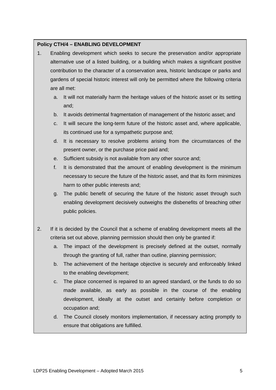#### **Policy CTH/4 – ENABLING DEVELOPMENT**

- 1. Enabling development which seeks to secure the preservation and/or appropriate alternative use of a listed building, or a building which makes a significant positive contribution to the character of a conservation area, historic landscape or parks and gardens of special historic interest will only be permitted where the following criteria are all met:
	- a. It will not materially harm the heritage values of the historic asset or its setting and;
	- b. It avoids detrimental fragmentation of management of the historic asset; and
	- c. It will secure the long-term future of the historic asset and, where applicable, its continued use for a sympathetic purpose and;
	- d. It is necessary to resolve problems arising from the circumstances of the present owner, or the purchase price paid and;
	- e. Sufficient subsidy is not available from any other source and;
	- f. It is demonstrated that the amount of enabling development is the minimum necessary to secure the future of the historic asset, and that its form minimizes harm to other public interests and;
	- g. The public benefit of securing the future of the historic asset through such enabling development decisively outweighs the disbenefits of breaching other public policies.
- 2. If it is decided by the Council that a scheme of enabling development meets all the criteria set out above, planning permission should then only be granted if:
	- a. The impact of the development is precisely defined at the outset, normally through the granting of full, rather than outline, planning permission;
	- b. The achievement of the heritage objective is securely and enforceably linked to the enabling development;
	- c. The place concerned is repaired to an agreed standard, or the funds to do so made available, as early as possible in the course of the enabling development, ideally at the outset and certainly before completion or occupation and;
	- d. The Council closely monitors implementation, if necessary acting promptly to ensure that obligations are fulfilled.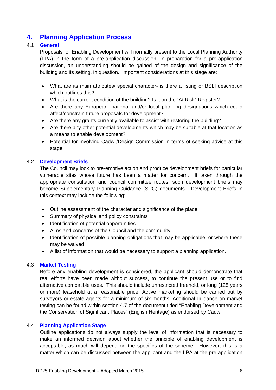## **4. Planning Application Process**

#### 4.1 **General**

Proposals for Enabling Development will normally present to the Local Planning Authority (LPA) in the form of a pre-application discussion. In preparation for a pre-application discussion, an understanding should be gained of the design and significance of the building and its setting, in question. Important considerations at this stage are:

- What are its main attributes/ special character- is there a listing or BSLI description which outlines this?
- What is the current condition of the building? Is it on the "At Risk" Register?
- Are there any European, national and/or local planning designations which could affect/constrain future proposals for development?
- Are there any grants currently available to assist with restoring the building?
- Are there any other potential developments which may be suitable at that location as a means to enable development?
- Potential for involving Cadw /Design Commission in terms of seeking advice at this stage.

#### 4.2 **Development Briefs**

The Council may look to pre-emptive action and produce development briefs for particular vulnerable sites whose future has been a matter for concern. If taken through the appropriate consultation and council committee routes, such development briefs may become Supplementary Planning Guidance (SPG) documents. Development Briefs in this context may include the following:

- Outline assessment of the character and significance of the place
- Summary of physical and policy constraints
- Identification of potential opportunities
- Aims and concerns of the Council and the community
- Identification of possible planning obligations that may be applicable, or where these may be waived
- A list of information that would be necessary to support a planning application.

#### 4.3 **Market Testing**

Before any enabling development is considered, the applicant should demonstrate that real efforts have been made without success, to continue the present use or to find alternative compatible uses. This should include unrestricted freehold, or long (125 years or more) leasehold at a reasonable price. Active marketing should be carried out by surveyors or estate agents for a minimum of six months. Additional guidance on market testing can be found within section 4.7 of the document titled "Enabling Development and the Conservation of Significant Places" (English Heritage) as endorsed by Cadw.

#### 4.4 **Planning Application Stage**

Outline applications do not always supply the level of information that is necessary to make an informed decision about whether the principle of enabling development is acceptable, as much will depend on the specifics of the scheme. However, this is a matter which can be discussed between the applicant and the LPA at the pre-application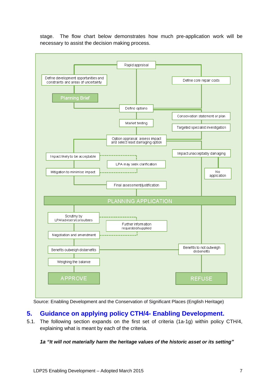stage. The flow chart below demonstrates how much pre-application work will be necessary to assist the decision making process.



Source: Enabling Development and the Conservation of Significant Places (English Heritage)

## **5. Guidance on applying policy CTH/4- Enabling Development.**

5.1. The following section expands on the first set of criteria (1a-1g) within policy CTH/4, explaining what is meant by each of the criteria.

#### *1a "It will not materially harm the heritage values of the historic asset or its setting"*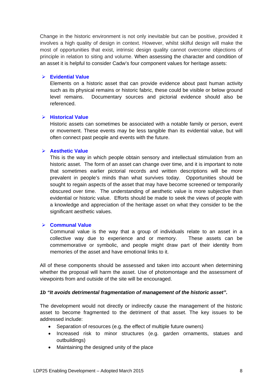Change in the historic environment is not only inevitable but can be positive, provided it involves a high quality of design in context. However, whilst skilful design will make the most of opportunities that exist, intrinsic design quality cannot overcome objections of principle in relation to siting and volume. When assessing the character and condition of an asset it is helpful to consider Cadw's four component values for heritage assets:

#### **Evidential Value**

Elements on a historic asset that can provide evidence about past human activity such as its physical remains or historic fabric, these could be visible or below ground level remains. Documentary sources and pictorial evidence should also be referenced.

#### **Historical Value**

Historic assets can sometimes be associated with a notable family or person, event or movement. These events may be less tangible than its evidential value, but will often connect past people and events with the future.

#### **Aesthetic Value**

This is the way in which people obtain sensory and intellectual stimulation from an historic asset. The form of an asset can change over time, and it is important to note that sometimes earlier pictorial records and written descriptions will be more prevalent in people's minds than what survives today. Opportunities should be sought to regain aspects of the asset that may have become screened or temporarily obscured over time. The understanding of aesthetic value is more subjective than evidential or historic value. Efforts should be made to seek the views of people with a knowledge and appreciation of the heritage asset on what they consider to be the significant aesthetic values.

#### **Communal Value**

Communal value is the way that a group of individuals relate to an asset in a collective way due to experience and or memory. These assets can be commemorative or symbolic, and people might draw part of their identity from memories of the asset and have emotional links to it.

All of these components should be assessed and taken into account when determining whether the proposal will harm the asset. Use of photomontage and the assessment of viewpoints from and outside of the site will be encouraged.

#### *1b "It avoids detrimental fragmentation of management of the historic asset".*

The development would not directly or indirectly cause the management of the historic asset to become fragmented to the detriment of that asset. The key issues to be addressed include:

- Separation of resources (e.g. the effect of multiple future owners)
- Increased risk to minor structures (e.g. garden ornaments, statues and outbuildings)
- Maintaining the designed unity of the place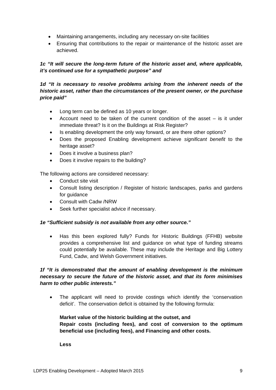- Maintaining arrangements, including any necessary on-site facilities
- Ensuring that contributions to the repair or maintenance of the historic asset are achieved.

#### *1c "It will secure the long-term future of the historic asset and, where applicable, it's continued use for a sympathetic purpose" and*

#### *1d "It is necessary to resolve problems arising from the inherent needs of the historic asset, rather than the circumstances of the present owner, or the purchase price paid"*

- Long term can be defined as 10 years or longer.
- Account need to be taken of the current condition of the asset is it under immediate threat? Is it on the Buildings at Risk Register?
- Is enabling development the only way forward, or are there other options?
- Does the proposed Enabling development achieve *significant benefit* to the heritage asset?
- Does it involve a business plan?
- Does it involve repairs to the building?

The following actions are considered necessary:

- Conduct site visit
- Consult listing description / Register of historic landscapes, parks and gardens for guidance
- Consult with Cadw /NRW
- Seek further specialist advice if necessary.

#### *1e "Sufficient subsidy is not available from any other source."*

• Has this been explored fully? Funds for Historic Buildings (FFHB) website provides a comprehensive list and guidance on what type of funding streams could potentially be available. These may include the Heritage and Big Lottery Fund, Cadw, and Welsh Government initiatives.

#### *1f "It is demonstrated that the amount of enabling development is the minimum necessary to secure the future of the historic asset, and that its form minimises harm to other public interests."*

 The applicant will need to provide costings which identify the 'conservation deficit'. The conservation deficit is obtained by the following formula:

#### **Market value of the historic building at the outset, and Repair costs (including fees), and cost of conversion to the optimum beneficial use (including fees), and Financing and other costs.**

**Less**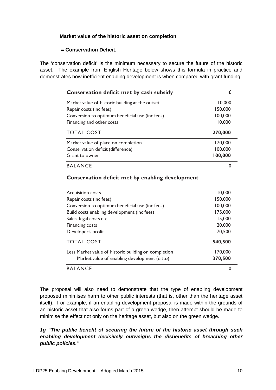#### **Market value of the historic asset on completion**

#### **= Conservation Deficit.**

The 'conservation deficit' is the minimum necessary to secure the future of the historic asset. The example from English Heritage below shows this formula in practice and demonstrates how inefficient enabling development is when compared with grant funding:

| Conservation deficit met by cash subsidy        |         |
|-------------------------------------------------|---------|
| Market value of historic building at the outset | 10,000  |
| Repair costs (inc fees)                         | 150,000 |
| Conversion to optimum beneficial use (inc fees) | 100,000 |
| Financing and other costs                       | 10,000  |
| <b>TOTAL COST</b>                               | 270,000 |
| Market value of place on completion             | 170,000 |
| Conservation deficit (difference)               | 100,000 |
| Grant to owner                                  | 100,000 |
| <b>BALANCE</b>                                  |         |

#### **Conservation deficit met by enabling development**

| Acquisition costs                                    | 10,000   |
|------------------------------------------------------|----------|
| Repair costs (inc fees)                              | 150,000  |
| Conversion to optimum beneficial use (inc fees)      | 100,000  |
| Build costs enabling development (inc fees)          | 175,000  |
| Sales, legal costs etc                               | 15,000   |
| <b>Financing costs</b>                               | 20,000   |
| Developer's profit                                   | 70,500   |
| <b>TOTAL COST</b>                                    | 540,500  |
| Less Market value of historic building on completion | 170,000  |
| Market value of enabling development (ditto)         | 370,500  |
| <b>BALANCE</b>                                       | $\Omega$ |

The proposal will also need to demonstrate that the type of enabling development proposed minimises harm to other public interests (that is, other than the heritage asset itself). For example, if an enabling development proposal is made within the grounds of an historic asset that also forms part of a green wedge, then attempt should be made to minimise the effect not only on the heritage asset, but also on the green wedge.

*1g "The public benefit of securing the future of the historic asset through such enabling development decisively outweighs the disbenefits of breaching other public policies."*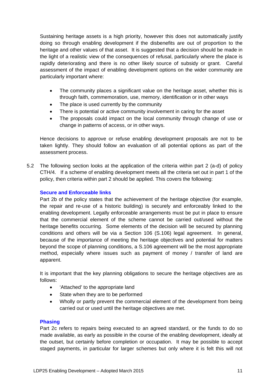Sustaining heritage assets is a high priority, however this does not automatically justify doing so through enabling development if the disbenefits are out of proportion to the heritage and other values of that asset. It is suggested that a decision should be made in the light of a realistic view of the consequences of refusal, particularly where the place is rapidly deteriorating and there is no other likely source of subsidy or grant. Careful assessment of the impact of enabling development options on the wider community are particularly important where:

- The community places a significant value on the heritage asset, whether this is through faith, commemoration, use, memory, identification or in other ways
- The place is used currently by the community
- There is potential or active community involvement in caring for the asset
- The proposals could impact on the local community through change of use or change in patterns of access, or in other ways.

Hence decisions to approve or refuse enabling development proposals are not to be taken lightly. They should follow an evaluation of all potential options as part of the assessment process.

5.2 The following section looks at the application of the criteria within part 2 (a-d) of policy CTH/4. If a scheme of enabling development meets all the criteria set out in part 1 of the policy, then criteria within part 2 should be applied. This covers the following:

#### **Secure and Enforceable links**

Part 2b of the policy states that the achievement of the heritage objective (for example, the repair and re-use of a historic building) is securely and enforceably linked to the enabling development. Legally enforceable arrangements must be put in place to ensure that the commercial element of the scheme cannot be carried out/used without the heritage benefits occurring. Some elements of the decision will be secured by planning conditions and others will be via a Section 106 (S.106) legal agreement. In general, because of the importance of meeting the heritage objectives and potential for matters beyond the scope of planning conditions, a S.106 agreement will be the most appropriate method, especially where issues such as payment of money / transfer of land are apparent.

It is important that the key planning obligations to secure the heritage objectives are as follows:

- 'Attached' to the appropriate land
- State when they are to be performed
- Wholly or partly prevent the commercial element of the development from being carried out or used until the heritage objectives are met.

#### **Phasing**

Part 2c refers to repairs being executed to an agreed standard, or the funds to do so made available, as early as possible in the course of the enabling development, ideally at the outset, but certainly before completion or occupation. It may be possible to accept staged payments, in particular for larger schemes but only where it is felt this will not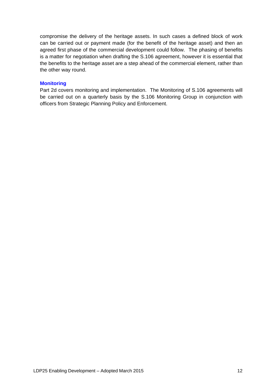compromise the delivery of the heritage assets. In such cases a defined block of work can be carried out or payment made (for the benefit of the heritage asset) and then an agreed first phase of the commercial development could follow. The phasing of benefits is a matter for negotiation when drafting the S.106 agreement, however it is essential that the benefits to the heritage asset are a step ahead of the commercial element, rather than the other way round.

#### **Monitoring**

Part 2d covers monitoring and implementation. The Monitoring of S.106 agreements will be carried out on a quarterly basis by the S.106 Monitoring Group in conjunction with officers from Strategic Planning Policy and Enforcement.